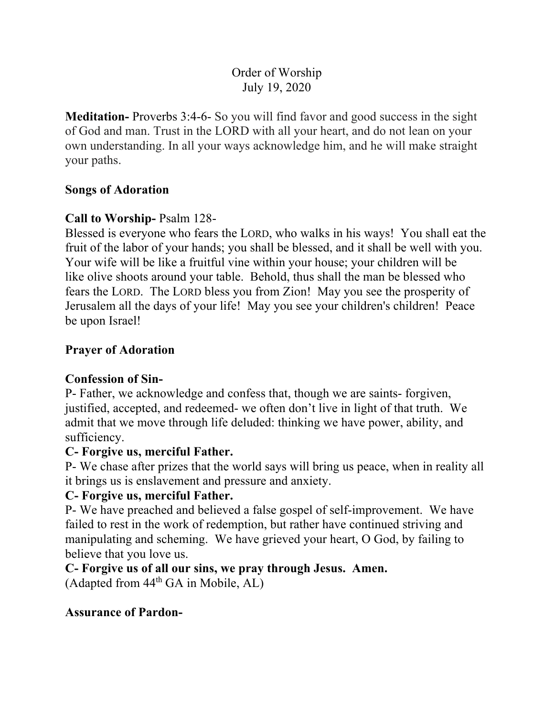# Order of Worship July 19, 2020

**Meditation-** Proverbs 3:4-6- So you will find favor and good success in the sight of God and man. Trust in the LORD with all your heart, and do not lean on your own understanding. In all your ways acknowledge him, and he will make straight your paths.

### **Songs of Adoration**

## **Call to Worship-** Psalm 128-

Blessed is everyone who fears the LORD, who walks in his ways! You shall eat the fruit of the labor of your hands; you shall be blessed, and it shall be well with you. Your wife will be like a fruitful vine within your house; your children will be like olive shoots around your table. Behold, thus shall the man be blessed who fears the LORD. The LORD bless you from Zion! May you see the prosperity of Jerusalem all the days of your life! May you see your children's children! Peace be upon Israel!

## **Prayer of Adoration**

## **Confession of Sin-**

P- Father, we acknowledge and confess that, though we are saints- forgiven, justified, accepted, and redeemed- we often don't live in light of that truth. We admit that we move through life deluded: thinking we have power, ability, and sufficiency.

## **C- Forgive us, merciful Father.**

P- We chase after prizes that the world says will bring us peace, when in reality all it brings us is enslavement and pressure and anxiety.

## **C- Forgive us, merciful Father.**

P- We have preached and believed a false gospel of self-improvement. We have failed to rest in the work of redemption, but rather have continued striving and manipulating and scheming. We have grieved your heart, O God, by failing to believe that you love us.

### **C- Forgive us of all our sins, we pray through Jesus. Amen.**

(Adapted from  $44<sup>th</sup>$  GA in Mobile, AL)

## **Assurance of Pardon-**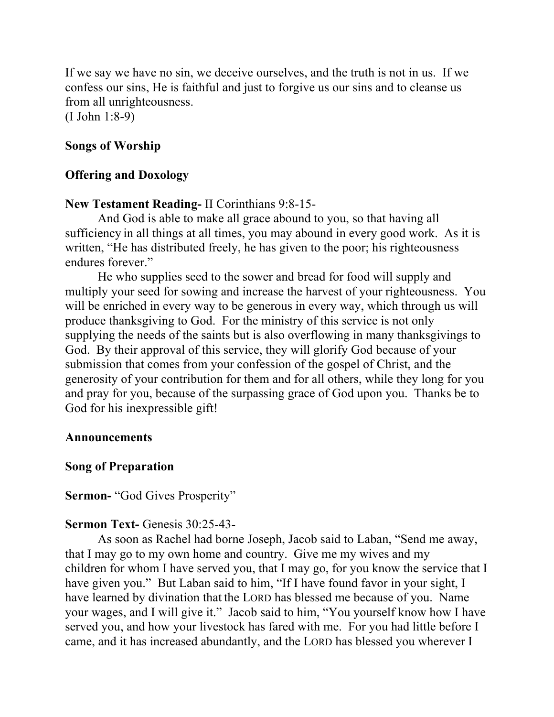If we say we have no sin, we deceive ourselves, and the truth is not in us. If we confess our sins, He is faithful and just to forgive us our sins and to cleanse us from all unrighteousness.

(I John 1:8-9)

### **Songs of Worship**

### **Offering and Doxology**

#### **New Testament Reading-** II Corinthians 9:8-15-

And God is able to make all grace abound to you, so that having all sufficiency in all things at all times, you may abound in every good work. As it is written, "He has distributed freely, he has given to the poor; his righteousness endures forever."

He who supplies seed to the sower and bread for food will supply and multiply your seed for sowing and increase the harvest of your righteousness. You will be enriched in every way to be generous in every way, which through us will produce thanksgiving to God. For the ministry of this service is not only supplying the needs of the saints but is also overflowing in many thanksgivings to God. By their approval of this service, they will glorify God because of your submission that comes from your confession of the gospel of Christ, and the generosity of your contribution for them and for all others, while they long for you and pray for you, because of the surpassing grace of God upon you. Thanks be to God for his inexpressible gift!

#### **Announcements**

#### **Song of Preparation**

**Sermon-** "God Gives Prosperity"

#### **Sermon Text-** Genesis 30:25-43-

As soon as Rachel had borne Joseph, Jacob said to Laban, "Send me away, that I may go to my own home and country. Give me my wives and my children for whom I have served you, that I may go, for you know the service that I have given you." But Laban said to him, "If I have found favor in your sight, I have learned by divination that the LORD has blessed me because of you. Name your wages, and I will give it." Jacob said to him, "You yourself know how I have served you, and how your livestock has fared with me. For you had little before I came, and it has increased abundantly, and the LORD has blessed you wherever I